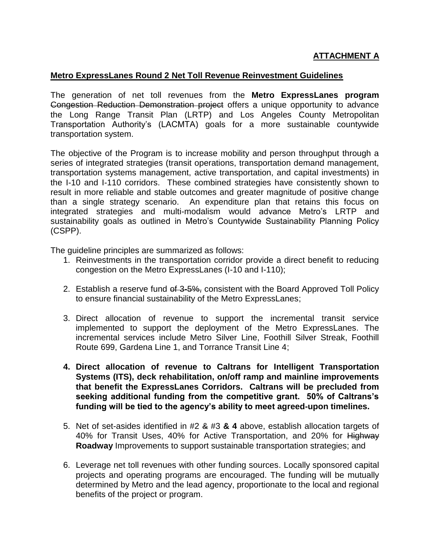# **ATTACHMENT A**

#### **Metro ExpressLanes Round 2 Net Toll Revenue Reinvestment Guidelines**

The generation of net toll revenues from the **Metro ExpressLanes program** Congestion Reduction Demonstration project offers a unique opportunity to advance the Long Range Transit Plan (LRTP) and Los Angeles County Metropolitan Transportation Authority's (LACMTA) goals for a more sustainable countywide transportation system.

The objective of the Program is to increase mobility and person throughput through a series of integrated strategies (transit operations, transportation demand management, transportation systems management, active transportation, and capital investments) in the I-10 and I-110 corridors. These combined strategies have consistently shown to result in more reliable and stable outcomes and greater magnitude of positive change than a single strategy scenario. An expenditure plan that retains this focus on integrated strategies and multi-modalism would advance Metro's LRTP and sustainability goals as outlined in Metro's Countywide Sustainability Planning Policy (CSPP).

The guideline principles are summarized as follows:

- 1. Reinvestments in the transportation corridor provide a direct benefit to reducing congestion on the Metro ExpressLanes (I-10 and I-110);
- 2. Establish a reserve fund of 3-5%, consistent with the Board Approved Toll Policy to ensure financial sustainability of the Metro ExpressLanes;
- 3. Direct allocation of revenue to support the incremental transit service implemented to support the deployment of the Metro ExpressLanes. The incremental services include Metro Silver Line, Foothill Silver Streak, Foothill Route 699, Gardena Line 1, and Torrance Transit Line 4;
- **4. Direct allocation of revenue to Caltrans for Intelligent Transportation Systems (ITS), deck rehabilitation, on/off ramp and mainline improvements that benefit the ExpressLanes Corridors. Caltrans will be precluded from seeking additional funding from the competitive grant. 50% of Caltrans's funding will be tied to the agency's ability to meet agreed-upon timelines.**
- 5. Net of set-asides identified in #2 & #3 **& 4** above, establish allocation targets of 40% for Transit Uses, 40% for Active Transportation, and 20% for Highway **Roadway** Improvements to support sustainable transportation strategies; and
- 6. Leverage net toll revenues with other funding sources. Locally sponsored capital projects and operating programs are encouraged. The funding will be mutually determined by Metro and the lead agency, proportionate to the local and regional benefits of the project or program.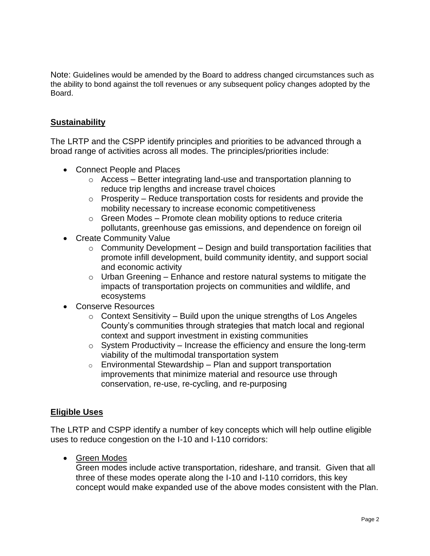Note: Guidelines would be amended by the Board to address changed circumstances such as the ability to bond against the toll revenues or any subsequent policy changes adopted by the Board.

# **Sustainability**

The LRTP and the CSPP identify principles and priorities to be advanced through a broad range of activities across all modes. The principles/priorities include:

- Connect People and Places
	- o Access Better integrating land-use and transportation planning to reduce trip lengths and increase travel choices
	- $\circ$  Prosperity Reduce transportation costs for residents and provide the mobility necessary to increase economic competitiveness
	- $\circ$  Green Modes Promote clean mobility options to reduce criteria pollutants, greenhouse gas emissions, and dependence on foreign oil
- Create Community Value
	- $\circ$  Community Development Design and build transportation facilities that promote infill development, build community identity, and support social and economic activity
	- $\circ$  Urban Greening Enhance and restore natural systems to mitigate the impacts of transportation projects on communities and wildlife, and ecosystems
- Conserve Resources
	- $\circ$  Context Sensitivity Build upon the unique strengths of Los Angeles County's communities through strategies that match local and regional context and support investment in existing communities
	- $\circ$  System Productivity Increase the efficiency and ensure the long-term viability of the multimodal transportation system
	- $\circ$  Environmental Stewardship Plan and support transportation improvements that minimize material and resource use through conservation, re-use, re-cycling, and re-purposing

#### **Eligible Uses**

The LRTP and CSPP identify a number of key concepts which will help outline eligible uses to reduce congestion on the I-10 and I-110 corridors:

• Green Modes

Green modes include active transportation, rideshare, and transit. Given that all three of these modes operate along the I-10 and I-110 corridors, this key concept would make expanded use of the above modes consistent with the Plan.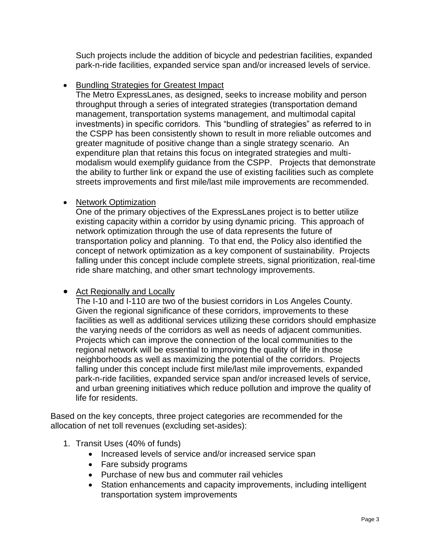Such projects include the addition of bicycle and pedestrian facilities, expanded park-n-ride facilities, expanded service span and/or increased levels of service.

# **• Bundling Strategies for Greatest Impact**

The Metro ExpressLanes, as designed, seeks to increase mobility and person throughput through a series of integrated strategies (transportation demand management, transportation systems management, and multimodal capital investments) in specific corridors. This "bundling of strategies" as referred to in the CSPP has been consistently shown to result in more reliable outcomes and greater magnitude of positive change than a single strategy scenario. An expenditure plan that retains this focus on integrated strategies and multimodalism would exemplify guidance from the CSPP. Projects that demonstrate the ability to further link or expand the use of existing facilities such as complete streets improvements and first mile/last mile improvements are recommended.

### • Network Optimization

One of the primary objectives of the ExpressLanes project is to better utilize existing capacity within a corridor by using dynamic pricing. This approach of network optimization through the use of data represents the future of transportation policy and planning. To that end, the Policy also identified the concept of network optimization as a key component of sustainability. Projects falling under this concept include complete streets, signal prioritization, real-time ride share matching, and other smart technology improvements.

### • Act Regionally and Locally

The I-10 and I-110 are two of the busiest corridors in Los Angeles County. Given the regional significance of these corridors, improvements to these facilities as well as additional services utilizing these corridors should emphasize the varying needs of the corridors as well as needs of adjacent communities. Projects which can improve the connection of the local communities to the regional network will be essential to improving the quality of life in those neighborhoods as well as maximizing the potential of the corridors. Projects falling under this concept include first mile/last mile improvements, expanded park-n-ride facilities, expanded service span and/or increased levels of service, and urban greening initiatives which reduce pollution and improve the quality of life for residents.

Based on the key concepts, three project categories are recommended for the allocation of net toll revenues (excluding set-asides):

- 1. Transit Uses (40% of funds)
	- Increased levels of service and/or increased service span
	- Fare subsidy programs
	- Purchase of new bus and commuter rail vehicles
	- Station enhancements and capacity improvements, including intelligent transportation system improvements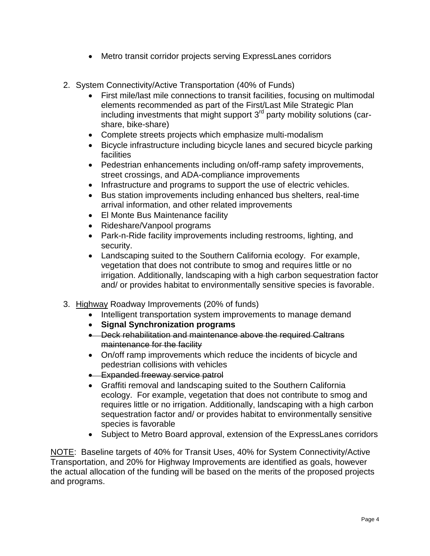- Metro transit corridor projects serving ExpressLanes corridors
- 2. System Connectivity/Active Transportation (40% of Funds)
	- First mile/last mile connections to transit facilities, focusing on multimodal elements recommended as part of the First/Last Mile Strategic Plan including investments that might support  $3<sup>rd</sup>$  party mobility solutions (carshare, bike-share)
	- Complete streets projects which emphasize multi-modalism
	- Bicycle infrastructure including bicycle lanes and secured bicycle parking facilities
	- Pedestrian enhancements including on/off-ramp safety improvements, street crossings, and ADA-compliance improvements
	- Infrastructure and programs to support the use of electric vehicles.
	- Bus station improvements including enhanced bus shelters, real-time arrival information, and other related improvements
	- El Monte Bus Maintenance facility
	- Rideshare/Vanpool programs
	- Park-n-Ride facility improvements including restrooms, lighting, and security.
	- Landscaping suited to the Southern California ecology. For example, vegetation that does not contribute to smog and requires little or no irrigation. Additionally, landscaping with a high carbon sequestration factor and/ or provides habitat to environmentally sensitive species is favorable.
- 3. Highway Roadway Improvements (20% of funds)
	- Intelligent transportation system improvements to manage demand
	- **Signal Synchronization programs**
	- Deck rehabilitation and maintenance above the required Caltrans maintenance for the facility
	- On/off ramp improvements which reduce the incidents of bicycle and pedestrian collisions with vehicles
	- **Expanded freeway service patrol**
	- Graffiti removal and landscaping suited to the Southern California ecology. For example, vegetation that does not contribute to smog and requires little or no irrigation. Additionally, landscaping with a high carbon sequestration factor and/ or provides habitat to environmentally sensitive species is favorable
	- Subject to Metro Board approval, extension of the ExpressLanes corridors

NOTE: Baseline targets of 40% for Transit Uses, 40% for System Connectivity/Active Transportation, and 20% for Highway Improvements are identified as goals, however the actual allocation of the funding will be based on the merits of the proposed projects and programs.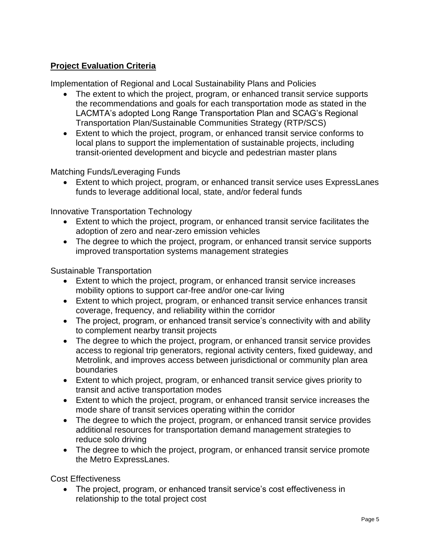# **Project Evaluation Criteria**

Implementation of Regional and Local Sustainability Plans and Policies

- The extent to which the project, program, or enhanced transit service supports the recommendations and goals for each transportation mode as stated in the LACMTA's adopted Long Range Transportation Plan and SCAG's Regional Transportation Plan/Sustainable Communities Strategy (RTP/SCS)
- Extent to which the project, program, or enhanced transit service conforms to local plans to support the implementation of sustainable projects, including transit-oriented development and bicycle and pedestrian master plans

Matching Funds/Leveraging Funds

 Extent to which project, program, or enhanced transit service uses ExpressLanes funds to leverage additional local, state, and/or federal funds

Innovative Transportation Technology

- Extent to which the project, program, or enhanced transit service facilitates the adoption of zero and near-zero emission vehicles
- The degree to which the project, program, or enhanced transit service supports improved transportation systems management strategies

### Sustainable Transportation

- Extent to which the project, program, or enhanced transit service increases mobility options to support car-free and/or one-car living
- Extent to which project, program, or enhanced transit service enhances transit coverage, frequency, and reliability within the corridor
- The project, program, or enhanced transit service's connectivity with and ability to complement nearby transit projects
- The degree to which the project, program, or enhanced transit service provides access to regional trip generators, regional activity centers, fixed guideway, and Metrolink, and improves access between jurisdictional or community plan area boundaries
- Extent to which project, program, or enhanced transit service gives priority to transit and active transportation modes
- Extent to which the project, program, or enhanced transit service increases the mode share of transit services operating within the corridor
- The degree to which the project, program, or enhanced transit service provides additional resources for transportation demand management strategies to reduce solo driving
- The degree to which the project, program, or enhanced transit service promote the Metro ExpressLanes.

Cost Effectiveness

 The project, program, or enhanced transit service's cost effectiveness in relationship to the total project cost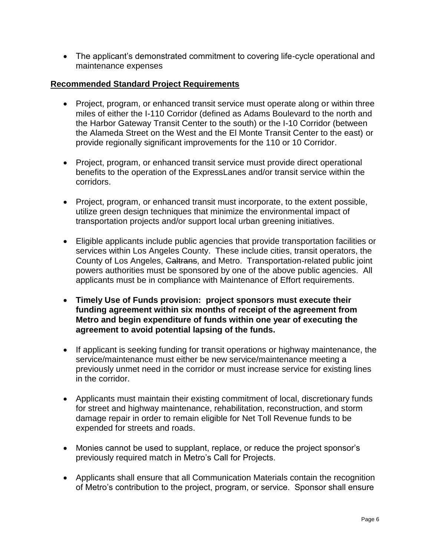The applicant's demonstrated commitment to covering life-cycle operational and maintenance expenses

# **Recommended Standard Project Requirements**

- Project, program, or enhanced transit service must operate along or within three miles of either the I-110 Corridor (defined as Adams Boulevard to the north and the Harbor Gateway Transit Center to the south) or the I-10 Corridor (between the Alameda Street on the West and the El Monte Transit Center to the east) or provide regionally significant improvements for the 110 or 10 Corridor.
- Project, program, or enhanced transit service must provide direct operational benefits to the operation of the ExpressLanes and/or transit service within the corridors.
- Project, program, or enhanced transit must incorporate, to the extent possible, utilize green design techniques that minimize the environmental impact of transportation projects and/or support local urban greening initiatives.
- Eligible applicants include public agencies that provide transportation facilities or services within Los Angeles County. These include cities, transit operators, the County of Los Angeles, Caltrans, and Metro. Transportation-related public joint powers authorities must be sponsored by one of the above public agencies. All applicants must be in compliance with Maintenance of Effort requirements.
- **Timely Use of Funds provision: project sponsors must execute their funding agreement within six months of receipt of the agreement from Metro and begin expenditure of funds within one year of executing the agreement to avoid potential lapsing of the funds.**
- If applicant is seeking funding for transit operations or highway maintenance, the service/maintenance must either be new service/maintenance meeting a previously unmet need in the corridor or must increase service for existing lines in the corridor.
- Applicants must maintain their existing commitment of local, discretionary funds for street and highway maintenance, rehabilitation, reconstruction, and storm damage repair in order to remain eligible for Net Toll Revenue funds to be expended for streets and roads.
- Monies cannot be used to supplant, replace, or reduce the project sponsor's previously required match in Metro's Call for Projects.
- Applicants shall ensure that all Communication Materials contain the recognition of Metro's contribution to the project, program, or service. Sponsor shall ensure